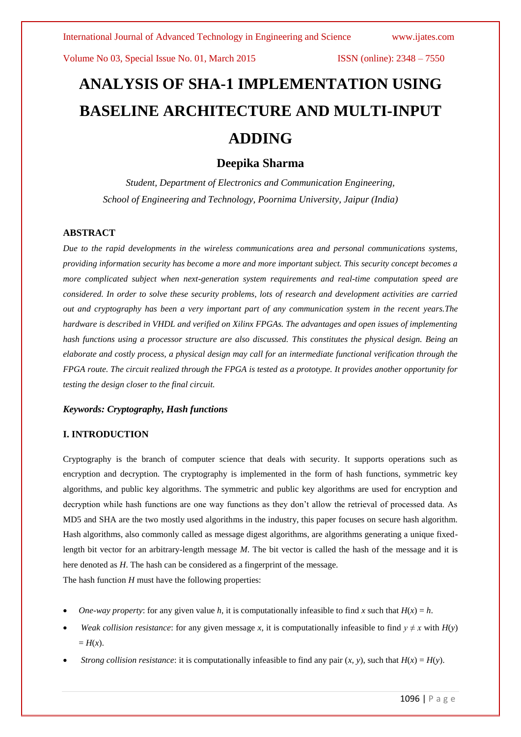# **ANALYSIS OF SHA-1 IMPLEMENTATION USING BASELINE ARCHITECTURE AND MULTI-INPUT ADDING**

# **Deepika Sharma**

*Student, Department of Electronics and Communication Engineering, School of Engineering and Technology, Poornima University, Jaipur (India)*

# **ABSTRACT**

*Due to the rapid developments in the wireless communications area and personal communications systems, providing information security has become a more and more important subject. This security concept becomes a more complicated subject when next-generation system requirements and real-time computation speed are considered. In order to solve these security problems, lots of research and development activities are carried out and cryptography has been a very important part of any communication system in the recent years.The hardware is described in VHDL and verified on Xilinx FPGAs. The advantages and open issues of implementing hash functions using a processor structure are also discussed. This constitutes the physical design. Being an elaborate and costly process, a physical design may call for an intermediate functional verification through the FPGA route. The circuit realized through the FPGA is tested as a prototype. It provides another opportunity for testing the design closer to the final circuit.*

### *Keywords: Cryptography, Hash functions*

# **I. INTRODUCTION**

Cryptography is the branch of computer science that deals with security. It supports operations such as encryption and decryption. The cryptography is implemented in the form of hash functions, symmetric key algorithms, and public key algorithms. The symmetric and public key algorithms are used for encryption and decryption while hash functions are one way functions as they don't allow the retrieval of processed data. As MD5 and SHA are the two mostly used algorithms in the industry, this paper focuses on secure hash algorithm. Hash algorithms, also commonly called as message digest algorithms, are algorithms generating a unique fixedlength bit vector for an arbitrary-length message *M*. The bit vector is called the hash of the message and it is here denoted as *H*. The hash can be considered as a fingerprint of the message.

The hash function *H* must have the following properties:

- *One-way property:* for any given value *h*, it is computationally infeasible to find *x* such that  $H(x) = h$ .
- *Weak collision resistance*: for any given message *x*, it is computationally infeasible to find  $y \neq x$  with  $H(y)$  $= H(x)$ .
- *Strong collision resistance*: it is computationally infeasible to find any pair  $(x, y)$ , such that  $H(x) = H(y)$ .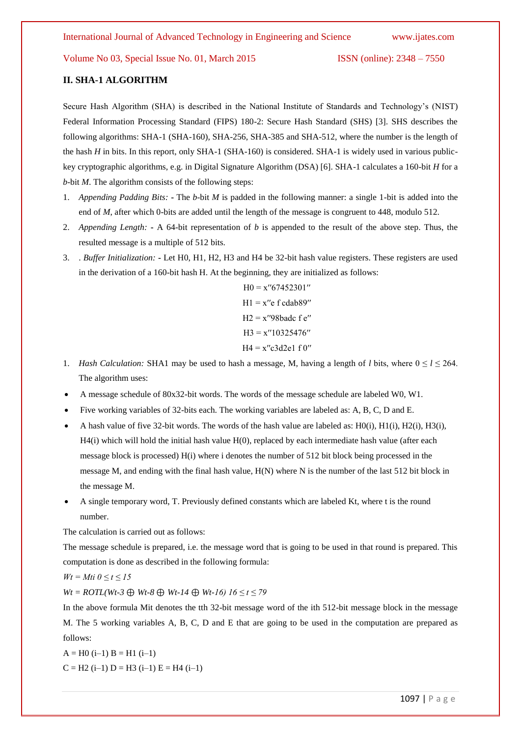# **II. SHA-1 ALGORITHM**

Secure Hash Algorithm (SHA) is described in the National Institute of Standards and Technology's (NIST) Federal Information Processing Standard (FIPS) 180-2: Secure Hash Standard (SHS) [3]. SHS describes the following algorithms: SHA-1 (SHA-160), SHA-256, SHA-385 and SHA-512, where the number is the length of the hash *H* in bits. In this report, only SHA-1 (SHA-160) is considered. SHA-1 is widely used in various publickey cryptographic algorithms, e.g. in Digital Signature Algorithm (DSA) [6]. SHA-1 calculates a 160-bit *H* for a *b*-bit *M*. The algorithm consists of the following steps:

- 1. *Appending Padding Bits:* **-** The *b*-bit *M* is padded in the following manner: a single 1-bit is added into the end of *M*, after which 0-bits are added until the length of the message is congruent to 448, modulo 512.
- 2. *Appending Length:* **-** A 64-bit representation of *b* is appended to the result of the above step. Thus, the resulted message is a multiple of 512 bits.
- 3. . *Buffer Initialization:* **-** Let H0, H1, H2, H3 and H4 be 32-bit hash value registers. These registers are used in the derivation of a 160-bit hash H. At the beginning, they are initialized as follows:

 $H0 = x''67452301''$  $H1 = x''e$  f cdab89″  $H2 = x''98b$ adc f e"  $H3 = x''10325476''$  $H4 = x''c3d2e1f0''$ 

- 1. *Hash Calculation:* SHA1 may be used to hash a message, M, having a length of *l* bits, where  $0 \le l \le 264$ . The algorithm uses:
- A message schedule of 80x32-bit words. The words of the message schedule are labeled W0, W1.
- Five working variables of 32-bits each. The working variables are labeled as: A, B, C, D and E.
- A hash value of five 32-bit words. The words of the hash value are labeled as: H0(i), H1(i), H2(i), H3(i), H4(i) which will hold the initial hash value H(0), replaced by each intermediate hash value (after each message block is processed) H(i) where i denotes the number of 512 bit block being processed in the message M, and ending with the final hash value,  $H(N)$  where N is the number of the last 512 bit block in the message M.
- A single temporary word, T. Previously defined constants which are labeled Kt, where t is the round number.

The calculation is carried out as follows:

The message schedule is prepared, i.e. the message word that is going to be used in that round is prepared. This computation is done as described in the following formula:

$$
Wt = Mit\ 0 \le t \le 15
$$

*Wt = ROTL(Wt-3* ⊕ *Wt-8* ⊕ *Wt-14* ⊕ *Wt-16) 16 ≤ t ≤ 79* 

In the above formula Mit denotes the tth 32-bit message word of the ith 512-bit message block in the message M. The 5 working variables A, B, C, D and E that are going to be used in the computation are prepared as follows:

 $A = H0$  (i-1)  $B = H1$  (i-1)  $C = H2$  (i–1)  $D = H3$  (i–1)  $E = H4$  (i–1)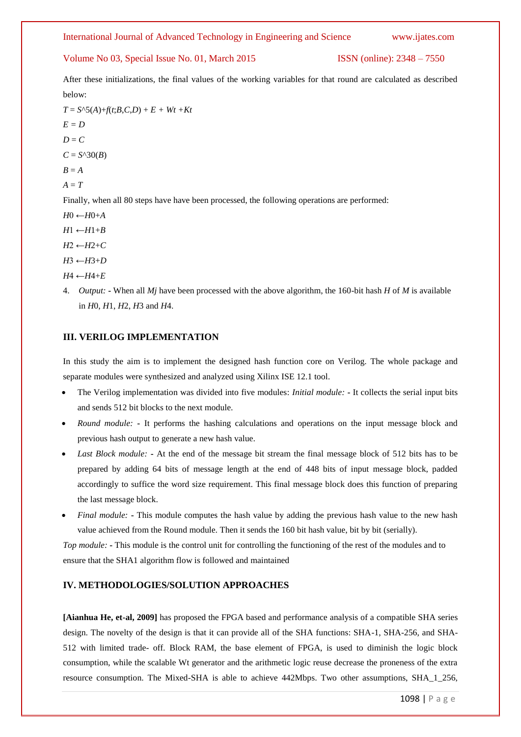# International Journal of Advanced Technology in Engineering and Science www.ijates.com

# Volume No 03, Special Issue No. 01, March 2015 ISSN (online): 2348 – 7550

After these initializations, the final values of the working variables for that round are calculated as described below:

 $T = S^{\wedge}5(A) + f(t;B,C,D) + E + Wt +Kt$ *E = D*   $D = C$  $C = S^{\wedge}30(B)$  $B \equiv A$  $A = T$ Finally, when all 80 steps have have been processed, the following operations are performed: *H*0 ←*H*0+*A*   $H1$  ←  $H1$ + $B$  $H2$  ←  $H2$ + $C$ 

*H*3 ←*H*3+*D* 

 $H4$  ←  $H4$ + $E$ 

4. *Output:* **-** When all *Mj* have been processed with the above algorithm, the 160-bit hash *H* of *M* is available in *H*0, *H*1, *H*2, *H*3 and *H*4.

# **III. VERILOG IMPLEMENTATION**

In this study the aim is to implement the designed hash function core on Verilog. The whole package and separate modules were synthesized and analyzed using Xilinx ISE 12.1 tool.

- The Verilog implementation was divided into five modules: *Initial module:* **-** It collects the serial input bits and sends 512 bit blocks to the next module.
- *Round module:* **-** It performs the hashing calculations and operations on the input message block and previous hash output to generate a new hash value.
- *Last Block module:* **-** At the end of the message bit stream the final message block of 512 bits has to be prepared by adding 64 bits of message length at the end of 448 bits of input message block, padded accordingly to suffice the word size requirement. This final message block does this function of preparing the last message block.
- *Final module:* **-** This module computes the hash value by adding the previous hash value to the new hash value achieved from the Round module. Then it sends the 160 bit hash value, bit by bit (serially).

*Top module:* **-** This module is the control unit for controlling the functioning of the rest of the modules and to ensure that the SHA1 algorithm flow is followed and maintained

# **IV. METHODOLOGIES/SOLUTION APPROACHES**

**[Aianhua He, et-al, 2009]** has proposed the FPGA based and performance analysis of a compatible SHA series design. The novelty of the design is that it can provide all of the SHA functions: SHA-1, SHA-256, and SHA-512 with limited trade- off. Block RAM, the base element of FPGA, is used to diminish the logic block consumption, while the scalable Wt generator and the arithmetic logic reuse decrease the proneness of the extra resource consumption. The Mixed-SHA is able to achieve 442Mbps. Two other assumptions, SHA\_1\_256,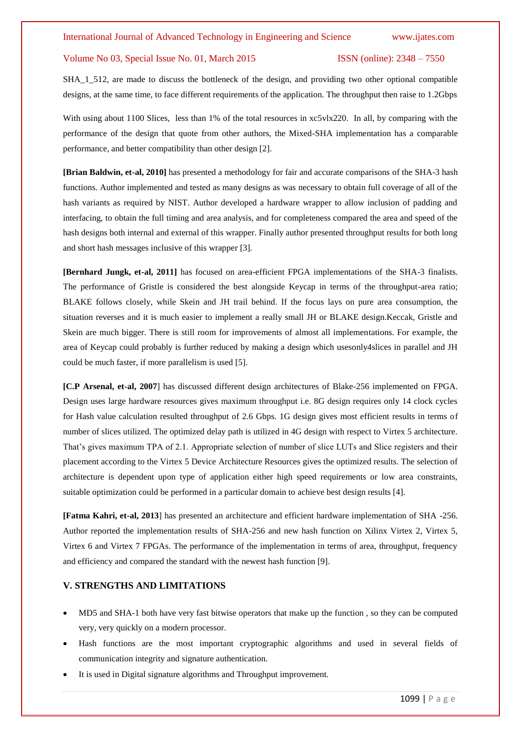SHA\_1\_512, are made to discuss the bottleneck of the design, and providing two other optional compatible designs, at the same time, to face different requirements of the application. The throughput then raise to 1.2Gbps

With using about 1100 Slices, less than 1% of the total resources in  $xc5vlx220$ . In all, by comparing with the performance of the design that quote from other authors, the Mixed-SHA implementation has a comparable performance, and better compatibility than other design [2].

**[Brian Baldwin, et-al, 2010]** has presented a methodology for fair and accurate comparisons of the SHA-3 hash functions. Author implemented and tested as many designs as was necessary to obtain full coverage of all of the hash variants as required by NIST. Author developed a hardware wrapper to allow inclusion of padding and interfacing, to obtain the full timing and area analysis, and for completeness compared the area and speed of the hash designs both internal and external of this wrapper. Finally author presented throughput results for both long and short hash messages inclusive of this wrapper [3].

**[Bernhard Jungk, et-al, 2011]** has focused on area-efficient FPGA implementations of the SHA-3 finalists. The performance of Gristle is considered the best alongside Keycap in terms of the throughput-area ratio; BLAKE follows closely, while Skein and JH trail behind. If the focus lays on pure area consumption, the situation reverses and it is much easier to implement a really small JH or BLAKE design.Keccak, Gristle and Skein are much bigger. There is still room for improvements of almost all implementations. For example, the area of Keycap could probably is further reduced by making a design which usesonly4slices in parallel and JH could be much faster, if more parallelism is used [5].

**[C.P Arsenal, et-al, 2007**] has discussed different design architectures of Blake-256 implemented on FPGA. Design uses large hardware resources gives maximum throughput i.e. 8G design requires only 14 clock cycles for Hash value calculation resulted throughput of 2.6 Gbps. 1G design gives most efficient results in terms of number of slices utilized. The optimized delay path is utilized in 4G design with respect to Virtex 5 architecture. That's gives maximum TPA of 2.1. Appropriate selection of number of slice LUTs and Slice registers and their placement according to the Virtex 5 Device Architecture Resources gives the optimized results. The selection of architecture is dependent upon type of application either high speed requirements or low area constraints, suitable optimization could be performed in a particular domain to achieve best design results [4].

**[Fatma Kahri, et-al, 2013**] has presented an architecture and efficient hardware implementation of SHA -256. Author reported the implementation results of SHA-256 and new hash function on Xilinx Virtex 2, Virtex 5, Virtex 6 and Virtex 7 FPGAs. The performance of the implementation in terms of area, throughput, frequency and efficiency and compared the standard with the newest hash function [9].

# **V. STRENGTHS AND LIMITATIONS**

- MD5 and SHA-1 both have very fast bitwise operators that make up the function , so they can be computed very, very quickly on a modern processor.
- Hash functions are the most important cryptographic algorithms and used in several fields of communication integrity and signature authentication.
- It is used in Digital signature algorithms and Throughput improvement.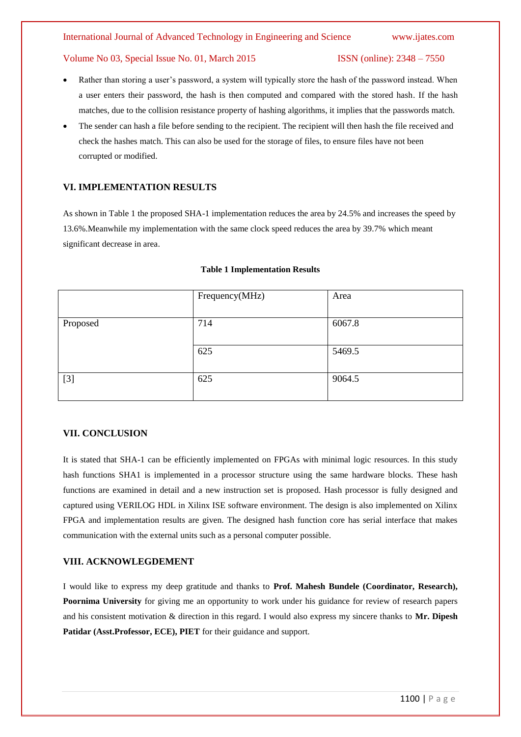- Rather than storing a user's password, a system will typically store the hash of the password instead. When a user enters their password, the hash is then computed and compared with the stored hash. If the hash matches, due to the collision resistance property of hashing algorithms, it implies that the passwords match.
- The sender can hash a file before sending to the recipient. The recipient will then hash the file received and check the hashes match. This can also be used for the storage of files, to ensure files have not been corrupted or modified.

# **VI. IMPLEMENTATION RESULTS**

As shown in Table 1 the proposed SHA-1 implementation reduces the area by 24.5% and increases the speed by 13.6%.Meanwhile my implementation with the same clock speed reduces the area by 39.7% which meant significant decrease in area.

|          | Frequency(MHz) | Area   |
|----------|----------------|--------|
| Proposed | 714            | 6067.8 |
|          | 625            | 5469.5 |
| $[3]$    | 625            | 9064.5 |

### **Table 1 Implementation Results**

# **VII. CONCLUSION**

It is stated that SHA-1 can be efficiently implemented on FPGAs with minimal logic resources. In this study hash functions SHA1 is implemented in a processor structure using the same hardware blocks. These hash functions are examined in detail and a new instruction set is proposed. Hash processor is fully designed and captured using VERILOG HDL in Xilinx ISE software environment. The design is also implemented on Xilinx FPGA and implementation results are given. The designed hash function core has serial interface that makes communication with the external units such as a personal computer possible.

# **VIII. ACKNOWLEGDEMENT**

I would like to express my deep gratitude and thanks to **Prof. Mahesh Bundele (Coordinator, Research), Poornima University** for giving me an opportunity to work under his guidance for review of research papers and his consistent motivation & direction in this regard. I would also express my sincere thanks to **Mr. Dipesh**  Patidar (Asst.Professor, ECE), PIET for their guidance and support.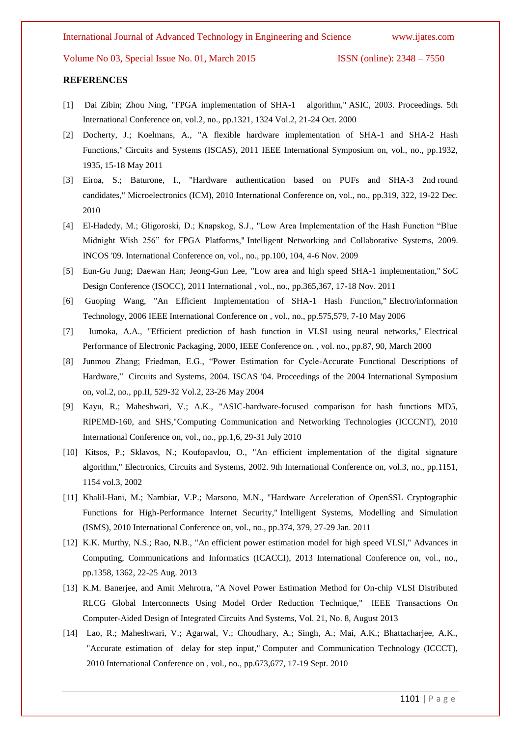### **REFERENCES**

- [1] Dai Zibin; Zhou Ning, "FPGA implementation of SHA-1 algorithm," ASIC, 2003. Proceedings. 5th International Conference on, vol.2, no., pp.1321, 1324 Vol.2, 21-24 Oct. 2000
- [2] Docherty, J.; Koelmans, A., "A flexible hardware implementation of SHA-1 and SHA-2 Hash Functions," Circuits and Systems (ISCAS), 2011 IEEE International Symposium on, vol., no., pp.1932, 1935, 15-18 May 2011
- [3] Eiroa, S.; Baturone, I., "Hardware authentication based on PUFs and SHA-3 2nd round candidates," Microelectronics (ICM), 2010 International Conference on, vol., no., pp.319, 322, 19-22 Dec. 2010
- [4] El-Hadedy, M.; Gligoroski, D.; Knapskog, S.J., "Low Area Implementation of the Hash Function "Blue Midnight Wish 256" for FPGA Platforms," Intelligent Networking and Collaborative Systems, 2009. INCOS '09. International Conference on, vol., no., pp.100, 104, 4-6 Nov. 2009
- [5] Eun-Gu Jung; Daewan Han; Jeong-Gun Lee, "Low area and high speed SHA-1 implementation," SoC Design Conference (ISOCC), 2011 International , vol., no., pp.365,367, 17-18 Nov. 2011
- [6] Guoping Wang, "An Efficient Implementation of SHA-1 Hash Function," Electro/information Technology, 2006 IEEE International Conference on , vol., no., pp.575,579, 7-10 May 2006
- [7] Iumoka, A.A., "Efficient prediction of hash function in VLSI using neural networks," Electrical Performance of Electronic Packaging, 2000, IEEE Conference on. , vol. no., pp.87, 90, March 2000
- [8] Junmou Zhang; Friedman, E.G., "Power Estimation for Cycle-Accurate Functional Descriptions of Hardware," Circuits and Systems, 2004. ISCAS '04. Proceedings of the 2004 International Symposium on, vol.2, no., pp.II, 529-32 Vol.2, 23-26 May 2004
- [9] Kayu, R.; Maheshwari, V.; A.K., "ASIC-hardware-focused comparison for hash functions MD5, RIPEMD-160, and SHS,"Computing Communication and Networking Technologies (ICCCNT), 2010 International Conference on, vol., no., pp.1,6, 29-31 July 2010
- [10] Kitsos, P.; Sklavos, N.; Koufopavlou, O., "An efficient implementation of the digital signature algorithm," Electronics, Circuits and Systems, 2002. 9th International Conference on, vol.3, no., pp.1151, 1154 vol.3, 2002
- [11] Khalil-Hani, M.; Nambiar, V.P.; Marsono, M.N., "Hardware Acceleration of OpenSSL Cryptographic Functions for High-Performance Internet Security," Intelligent Systems, Modelling and Simulation (ISMS), 2010 International Conference on, vol., no., pp.374, 379, 27-29 Jan. 2011
- [12] K.K. Murthy, N.S.; Rao, N.B., "An efficient power estimation model for high speed VLSI," Advances in Computing, Communications and Informatics (ICACCI), 2013 International Conference on, vol., no., pp.1358, 1362, 22-25 Aug. 2013
- [13] K.M. Banerjee, and Amit Mehrotra, "A Novel Power Estimation Method for On-chip VLSI Distributed RLCG Global Interconnects Using Model Order Reduction Technique," IEEE Transactions On Computer-Aided Design of Integrated Circuits And Systems, Vol. 21, No. 8, August 2013
- [14] Lao, R.; Maheshwari, V.; Agarwal, V.; Choudhary, A.; Singh, A.; Mai, A.K.; Bhattacharjee, A.K., "Accurate estimation of delay for step input," Computer and Communication Technology (ICCCT), 2010 International Conference on , vol., no., pp.673,677, 17-19 Sept. 2010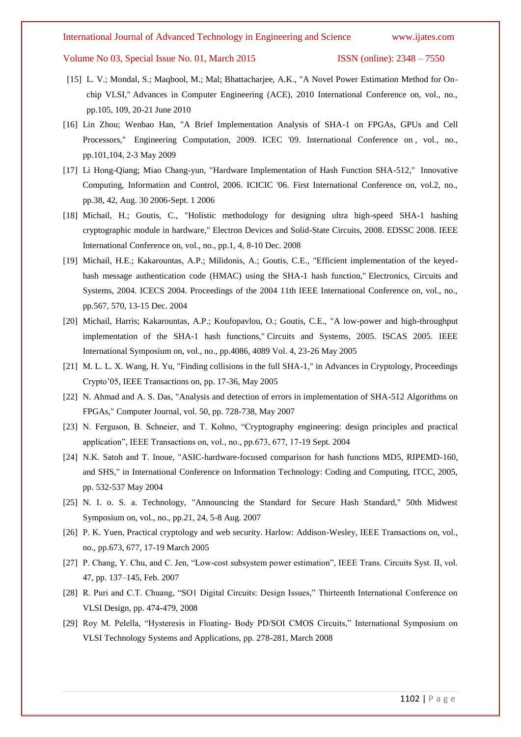- [15] L. V.; Mondal, S.; Maqbool, M.; Mal; Bhattacharjee, A.K., "A Novel Power Estimation Method for Onchip VLSI," Advances in Computer Engineering (ACE), 2010 International Conference on, vol., no., pp.105, 109, 20-21 June 2010
- [16] Lin Zhou; Wenbao Han, "A Brief Implementation Analysis of SHA-1 on FPGAs, GPUs and Cell Processors," Engineering Computation, 2009. ICEC '09. International Conference on , vol., no., pp.101,104, 2-3 May 2009
- [17] Li Hong-Qiang; Miao Chang-yun, "Hardware Implementation of Hash Function SHA-512," Innovative Computing, Information and Control, 2006. ICICIC '06. First International Conference on, vol.2, no., pp.38, 42, Aug. 30 2006-Sept. 1 2006
- [18] Michail, H.; Goutis, C., "Holistic methodology for designing ultra high-speed SHA-1 hashing cryptographic module in hardware," Electron Devices and Solid-State Circuits, 2008. EDSSC 2008. IEEE International Conference on, vol., no., pp.1, 4, 8-10 Dec. 2008
- [19] Michail, H.E.; Kakarountas, A.P.; Milidonis, A.; Goutis, C.E., "Efficient implementation of the keyedhash message authentication code (HMAC) using the SHA-1 hash function," Electronics, Circuits and Systems, 2004. ICECS 2004. Proceedings of the 2004 11th IEEE International Conference on, vol., no., pp.567, 570, 13-15 Dec. 2004
- [20] Michail, Harris; Kakarountas, A.P.; Koufopavlou, O.; Goutis, C.E., "A low-power and high-throughput implementation of the SHA-1 hash functions," Circuits and Systems, 2005. ISCAS 2005. IEEE International Symposium on, vol., no., pp.4086, 4089 Vol. 4, 23-26 May 2005
- [21] M. L. L. X. Wang, H. Yu, "Finding collisions in the full SHA-1," in Advances in Cryptology, Proceedings Crypto'05, IEEE Transactions on, pp. 17-36, May 2005
- [22] N. Ahmad and A. S. Das, "Analysis and detection of errors in implementation of SHA-512 Algorithms on FPGAs," Computer Journal, vol. 50, pp. 728-738, May 2007
- [23] N. Ferguson, B. Schneier, and T. Kohno, "Cryptography engineering: design principles and practical application", IEEE Transactions on, vol., no., pp.673, 677, 17-19 Sept. 2004
- [24] N.K. Satoh and T. Inoue, "ASIC-hardware-focused comparison for hash functions MD5, RIPEMD-160, and SHS," in International Conference on Information Technology: Coding and Computing, ITCC, 2005, pp. 532-537 May 2004
- [25] N. I. o. S. a. Technology, "Announcing the Standard for Secure Hash Standard," 50th Midwest Symposium on, vol., no., pp.21, 24, 5-8 Aug. 2007
- [26] P. K. Yuen, Practical cryptology and web security. Harlow: Addison-Wesley, IEEE Transactions on, vol., no., pp.673, 677, 17-19 March 2005
- [27] P. Chang, Y. Chu, and C. Jen, "Low-cost subsystem power estimation", IEEE Trans. Circuits Syst. II, vol. 47, pp. 137–145, Feb. 2007
- [28] R. Puri and C.T. Chuang, "SO1 Digital Circuits: Design Issues," Thirteenth International Conference on VLSI Design, pp. 474-479, 2008
- [29] Roy M. Pelella, "Hysteresis in Floating- Body PD/SOI CMOS Circuits," International Symposium on VLSI Technology Systems and Applications, pp. 278-281, March 2008